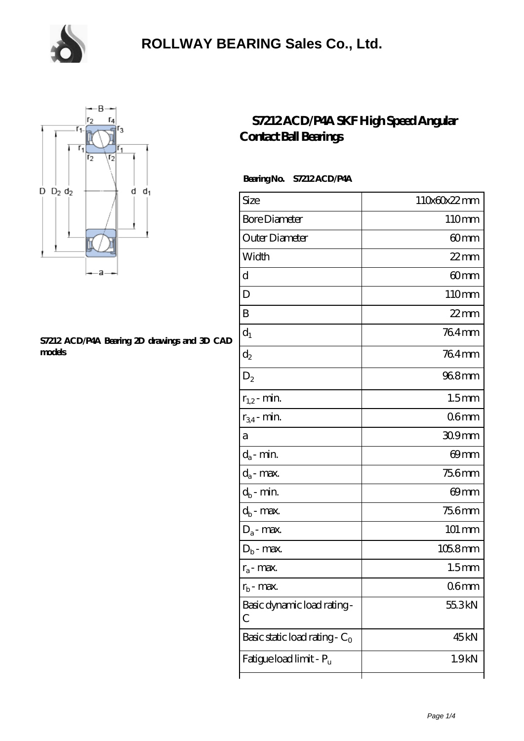

### **[ROLLWAY BEARING Sales Co., Ltd.](https://m.chooseyourcufflinks.com)**



#### **[S7212 ACD/P4A Bearing 2D drawings and 3D CAD](https://m.chooseyourcufflinks.com/pic-938553.html) [models](https://m.chooseyourcufflinks.com/pic-938553.html)**

### **[S7212 ACD/P4A SKF High Speed Angular](https://m.chooseyourcufflinks.com/skf-bearing/s7212-acd-p4a.html) [Contact Ball Bearings](https://m.chooseyourcufflinks.com/skf-bearing/s7212-acd-p4a.html)**

#### **Bearing No. S7212 ACD/P4A**

| Size                             | 110x60x22mm        |
|----------------------------------|--------------------|
| <b>Bore Diameter</b>             | 110mm              |
| Outer Diameter                   | 60mm               |
| Width                            | $22$ mm            |
| d                                | 60mm               |
| D                                | 110mm              |
| B                                | $22$ mm            |
| $d_1$                            | 764mm              |
| $d_2$                            | 764mm              |
| $\mathrm{D}_2$                   | 968mm              |
| $r_{1,2}$ - min.                 | 1.5 <sub>mm</sub>  |
| $r_{34}$ - min.                  | 06mm               |
| а                                | $309$ mm           |
| $d_a$ - min.                     | 69mm               |
| $d_a$ - max.                     | 756mm              |
| $d_b$ - min.                     | 69mm               |
| $d_b$ - max.                     | 756mm              |
| $D_a$ - max.                     | $101 \, \text{mm}$ |
| $\mathbf{D}_\mathrm{b}$ - max.   | $1058$ mm          |
| $r_a$ - max.                     | 1.5 <sub>mm</sub>  |
| $r_{\rm b}$ - max.               | 06 <sub>mm</sub>   |
| Basic dynamic load rating-<br>С  | 55.3kN             |
| Basic static load rating - $C_0$ | 45kN               |
| Fatigue load limit - Pu          | 1.9 <sub>kN</sub>  |
|                                  |                    |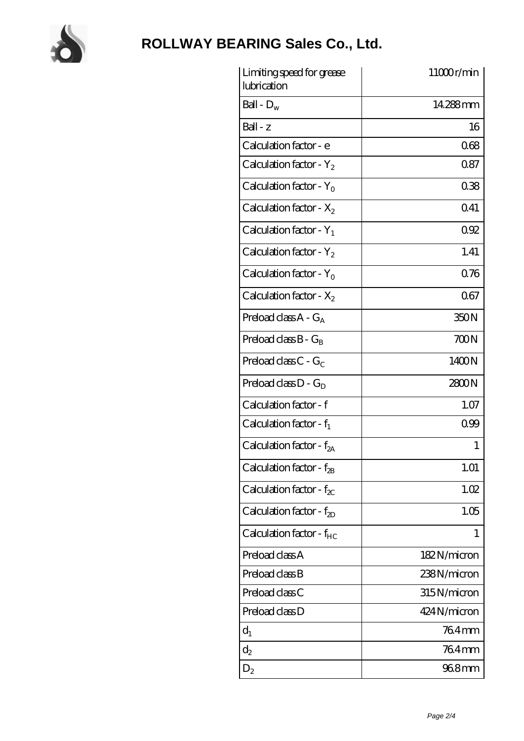

# **[ROLLWAY BEARING Sales Co., Ltd.](https://m.chooseyourcufflinks.com)**

| Limiting speed for grease<br>lubrication | 11000r/min   |
|------------------------------------------|--------------|
| Ball - $D_w$                             | 14288mm      |
| $Ball - z$                               | 16           |
| Calculation factor - e                   | 068          |
| Calculation factor - $Y_2$               | 0.87         |
| Calculation factor - $Y_0$               | 038          |
| Calculation factor - $X_2$               | 0.41         |
| Calculation factor - $Y_1$               | 092          |
| Calculation factor - $Y_2$               | 1.41         |
| Calculation factor - $Y_0$               | 0.76         |
| Calculation factor - $X_2$               | 067          |
| Preload class $A - G_A$                  | 350N         |
| Preload class $B - G_B$                  | 700N         |
| Preload class $C - G_C$                  | 1400N        |
| Preload class $D - G_D$                  | 2800N        |
| Calculation factor - f                   | 1.07         |
| Calculation factor - $f_1$               | 099          |
| Calculation factor - f <sub>2A</sub>     | 1            |
| Calculation factor - $f_{2B}$            | 1.01         |
| Calculation factor - $f_{\chi}$          | 1.02         |
| Calculation factor - $f_{2D}$            | 1.05         |
| Calculation factor - $f_{HC}$            | 1            |
| Preload class A                          | 182N/micron  |
| Preload class B                          | 238N/micron  |
| Preload class C                          | 315N/micron  |
| Preload class D                          | 424 N/micron |
| $d_1$                                    | 764mm        |
| $d_2$                                    | 764mm        |
| $D_2$                                    | 968mm        |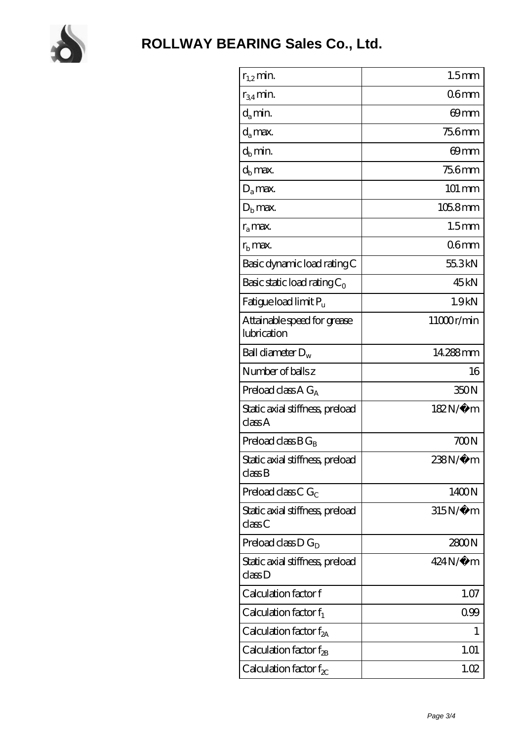

| $r_{1,2}$ min.                             | 1.5 <sub>mm</sub> |
|--------------------------------------------|-------------------|
| $r_{34}$ min.                              | 06 <sub>mm</sub>  |
| $d_a$ min.                                 | 69mm              |
| $d_a$ max.                                 | <b>756mm</b>      |
|                                            | 69mm              |
| $d_b$ min.                                 |                   |
| $d_h$ max.                                 | <b>756mm</b>      |
| $D_a$ max.                                 | 101 mm            |
| $D_{b}$ max.                               | $1058$ mm         |
| $r_a$ max.                                 | 1.5 <sub>mm</sub> |
| $rb$ max.                                  | 06 <sub>mm</sub>  |
| Basic dynamic load rating C                | 55.3kN            |
| Basic static load rating $C_0$             | 45 <sub>kN</sub>  |
| Fatigue load limit Pu                      | 1.9kN             |
| Attainable speed for grease<br>lubrication | 11000r/min        |
| Ball diameter $D_w$                        | 14.288mm          |
| Number of balls z                          | 16                |
| Preload class $A G_A$                      | 350N              |
| Static axial stiffness, preload<br>classA  | 182N/μ m          |
| Preload class $BG_R$                       | 700N              |
| Static axial stiffness, preload<br>classB  | 238N/µ m          |
| Preload class C $G_C$                      | 1400N             |
| Static axial stiffness, preload<br>classC  | $315N/\mu$ m      |
| Preload class $D G_D$                      | 2800N             |
| Static axial stiffness, preload<br>classD  | $424N/\mu$ m      |
| Calculation factor f                       | 1.07              |
| Calculation factor $f_1$                   | 0.99              |
| Calculation factor f <sub>2A</sub>         | 1                 |
| Calculation factor $f_{\rm 2B}$            | 1.01              |
| Calculation factor $f_{\chi}$              | 1.02              |